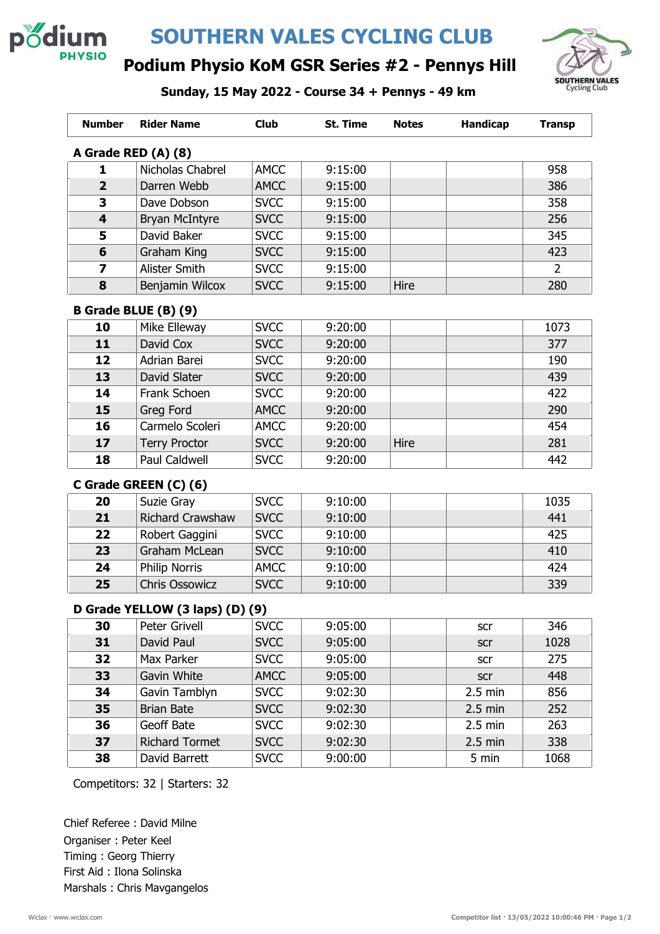

# SOUTHERN VALES CYCLING CLUB



### Podium Physio KoM GSR Series #2 - Pennys Hill

Sunday, 15 May 2022 - Course 34 + Pennys - 49 km

| <b>Number</b>       | <b>Rider Name</b>     | <b>Club</b> | St. Time | <b>Notes</b> | <b>Handicap</b> | <b>Transp</b> |  |
|---------------------|-----------------------|-------------|----------|--------------|-----------------|---------------|--|
| A Grade RED (A) (8) |                       |             |          |              |                 |               |  |
| 1                   | Nicholas Chabrel      | <b>AMCC</b> | 9:15:00  |              |                 | 958           |  |
| $\overline{2}$      | Darren Webb           | <b>AMCC</b> | 9:15:00  |              |                 | 386           |  |
| 3                   | Dave Dobson           | <b>SVCC</b> | 9:15:00  |              |                 | 358           |  |
| $\overline{4}$      | <b>Bryan McIntyre</b> | <b>SVCC</b> | 9:15:00  |              |                 | 256           |  |
| 5                   | David Baker           | <b>SVCC</b> | 9:15:00  |              |                 | 345           |  |
| 6                   | Graham King           | <b>SVCC</b> | 9:15:00  |              |                 | 423           |  |
| 7                   | Alister Smith         | <b>SVCC</b> | 9:15:00  |              |                 | 2             |  |
| 8                   | Benjamin Wilcox       | <b>SVCC</b> | 9:15:00  | Hire         |                 | 280           |  |

#### B Grade BLUE (B) (9)

| 10 | Mike Elleway         | <b>SVCC</b> | 9:20:00 |      | 1073 |
|----|----------------------|-------------|---------|------|------|
| 11 | David Cox            | <b>SVCC</b> | 9:20:00 |      | 377  |
| 12 | Adrian Barei         | <b>SVCC</b> | 9:20:00 |      | 190  |
| 13 | David Slater         | <b>SVCC</b> | 9:20:00 |      | 439  |
| 14 | Frank Schoen         | <b>SVCC</b> | 9:20:00 |      | 422  |
| 15 | Greg Ford            | <b>AMCC</b> | 9:20:00 |      | 290  |
| 16 | Carmelo Scoleri      | <b>AMCC</b> | 9:20:00 |      | 454  |
| 17 | <b>Terry Proctor</b> | <b>SVCC</b> | 9:20:00 | Hire | 281  |
| 18 | <b>Paul Caldwell</b> | <b>SVCC</b> | 9:20:00 |      | 442  |

#### C Grade GREEN (C) (6)

| 20 | Suzie Gray              | <b>SVCC</b> | 9:10:00 |  | 1035 |
|----|-------------------------|-------------|---------|--|------|
| 21 | <b>Richard Crawshaw</b> | <b>SVCC</b> | 9:10:00 |  | 441  |
| 22 | Robert Gaggini          | <b>SVCC</b> | 9:10:00 |  | 425  |
| 23 | Graham McLean           | <b>SVCC</b> | 9:10:00 |  | 410  |
| 24 | <b>Philip Norris</b>    | <b>AMCC</b> | 9:10:00 |  | 424  |
| 25 | <b>Chris Ossowicz</b>   | <b>SVCC</b> | 9:10:00 |  | 339  |

#### D Grade YELLOW (3 laps) (D) (9)

| 30 | <b>Peter Grivell</b>  | <b>SVCC</b> | 9:05:00 | scr               | 346  |
|----|-----------------------|-------------|---------|-------------------|------|
| 31 | David Paul            | <b>SVCC</b> | 9:05:00 | <b>SCr</b>        | 1028 |
| 32 | Max Parker            | <b>SVCC</b> | 9:05:00 | scr               | 275  |
| 33 | Gavin White           | <b>AMCC</b> | 9:05:00 | scr               | 448  |
| 34 | Gavin Tamblyn         | <b>SVCC</b> | 9:02:30 | $2.5$ min         | 856  |
| 35 | <b>Brian Bate</b>     | <b>SVCC</b> | 9:02:30 | $2.5 \text{ min}$ | 252  |
| 36 | Geoff Bate            | <b>SVCC</b> | 9:02:30 | $2.5$ min         | 263  |
| 37 | <b>Richard Tormet</b> | <b>SVCC</b> | 9:02:30 | $2.5$ min         | 338  |
| 38 | David Barrett         | <b>SVCC</b> | 9:00:00 | 5 min             | 1068 |

Competitors: 32 | Starters: 32

Chief Referee : David Milne Organiser : Peter Keel Timing : Georg Thierry First Aid : Ilona Solinska Marshals : Chris Mavgangelos